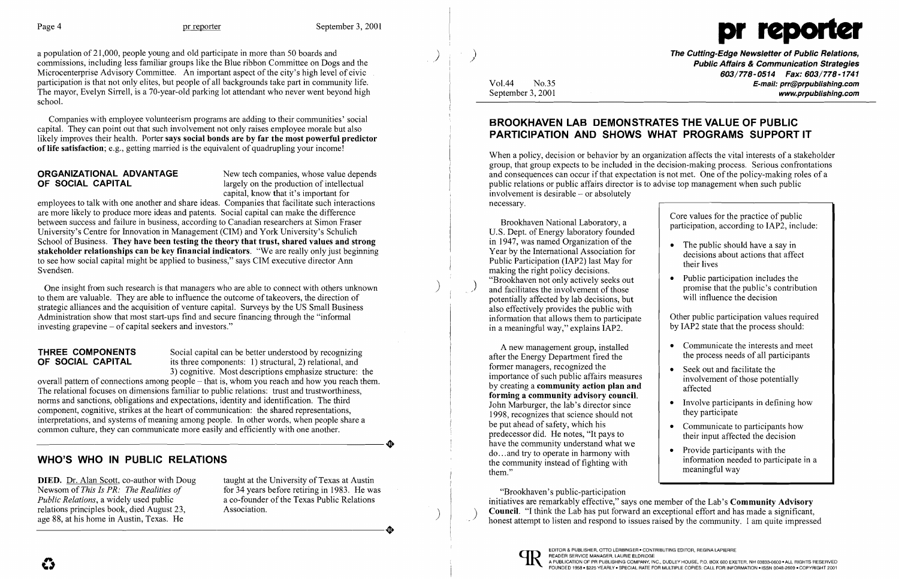

The Cutting-Edge Newsletter of Public Relations, Public Affairs & Communication Strategies 603/778-0514 Fax: 603/778-1741 Vol.44 No.35 E-mail: prr@prpublishing.com September 3, 2001 www.problishing.com

Brookhaven National Laboratory, a<br>  $\begin{array}{c|c}\n\text{Core values for the practice of public  
participation, according to IAP2, include:}\n\end{array}$ 

- The public should have a say in decisions about actions that affect their lives
- Public participation includes the promise that the public's contribution<br>will influence the decision

- Communicate the interests and meet the process needs of all participants
- 
- 
- Communicate to participants how<br>their input affected the decision
- 

a population of 21,000, people young and old participate in more than 50 boards and commissions, including less familiar groups like the Blue ribbon Committee on Dogs and the Microcenterprise Advisory Committee. An important aspect of the city's high level of civic participation is that not only elites, but people of all backgrounds take part in community life. The mayor, Evelyn Sirrell, is a 70-year-old parking lot attendant who never went beyond high school.

**ORGANIZATIONAL ADVANTAGE** New tech companies, whose value depends<br> **OF SOCIAL CAPITAL** (*New Largely on the production of intellectual* largely on the production of intellectual capital, know that it's important for

Companies with employee volunteerism programs are adding to their communities' social capital. They can point out that such involvement not only raises employee morale but also likely improves their health. Porter says social bonds are by far the most powerful predictor of life satisfaction; e.g., getting married is the equivalent of quadrupling your income!

**THREE COMPONENTS** Social capital can be better understood by recognizing **OF SOCIAL CAPITAL** its three components: 1) structural, 2) relational, and its three components: 1) structural, 2) relational, and 3) cognitive. Most descriptions emphasize structure: the

employees to talk with one another and share ideas. Companies that facilitate such interactions are more likely to produce more ideas and patents. Social capital can make the difference between success and failure in business, according to Canadian researchers at Simon Fraser University's Centre for Innovation in Management (CIM) and York University's Schulich School of Business. They have been testing the theory that trust, shared values and strong stakeholder relationships can be key financial indicators. "We are really only just beginning to see how social capital might be applied to business," says CIM executive director Ann Svendsen.

overall pattern of connections among people – that is, whom you reach and how you reach them. The relational focuses on dimensions familiar to public relations: trust and trustworthiness, norms and sanctions, obligations and expectations, identity and identification. The third component, cognitive, strikes at the heart of communication: the shared representations, interpretations, and systems of meaning among people. In other words, when people share a common culture, they can communicate more easily and efficiently with one another. common culture, they can communicate more easily and efficiently with one another.

One insight from such research is that managers who are able to connect with others unknown to them are valuable. They are able to influence the outcome of takeovers, the direction of strategic alliances and the acquisition of venture capital. Surveys by the US Small Business Administration show that most start-ups find and secure financing through the "informal investing grapevine - of capital seekers and investors."

after the Energy Department fired the A new management group, installed former managers, recognized the  $\left\{\n\begin{array}{r}\n\text{Seek out and facilitate the involvement of those potentially}\n\end{array}\n\right\}$ by creating a **community action plan and**  $\left\vert \right\rangle$  affected forming a community advisory council. John Marburger, the lab's director since<br>1998 recognizes that science should not they participate 1998, recognizes that science should not be put ahead of safety, which his predecessor did. He notes, "It pays to have the community understand what we do... and try to operate in harmony with<br>the community instead of fighting with the information needed to participate in a the community instead of fighting with the community instead of fighting with meaningful way

"Brookhaven's public-participation initiatives are remarkably effective," says one member of the Lab's Community Advisory<br>Council. "I think the Lab has put forward an exceptional effort and has made a significant, honest attempt to listen and respond to issues raised by the community. I am quite impressed



# WHO'S WHO IN PUBLIC RELATIONS

**DIED.** Dr. Alan Scott, co-author with Doug taught at the University of Texas at Austin<br>Newsom of *This Is PR: The Realities of* for 34 years before retiring in 1983. He was relations principles book, died August 23, Association. age 88, at his home in Austin, Texas. He Public Relations, a widely used public<br>relations principles book, died August 23,<br>age 88, at his home in Austin, Texas. He

Newsom of *This Is PR: The Realities of* for 34 years before retiring in 1983. He was *Public Relations*, a widely used public  $\frac{1}{2}$  a co-founder of the Texas Public Relations a co-founder of the Texas Public Relations

# BROOKHAVEN LAB DEMONSTRATES THE VALUE OF PUBLIC PARTICIPATION AND SHOWS WHAT PROGRAMS SUPPORT IT

When a policy, decision or behavior by an organization affects the vital interests of a stakeholder group, that group expects to be included in the decision-making process. Serious confrontations and consequences can occur if that expectation is not met. One of the policy-making roles of a public relations or public affairs director is to advise top management when such public involvement is desirable – or absolutely necessary.

U.S. Dept. of Energy laboratory founded in 1947, was named Organization of the Year by the International Association for Public Participation (IAP2) last May for making the right policy decisions.<br>"Brookhaven not only actively seeks out  $\binom{1}{1}$  (Brookhaven not only actively seeks out and facilitates the involvement of those potentially affected by lab decisions, but also effectively provides the public with information that allows them to participate  $\left\{\n\begin{array}{c}\n\text{Other public participation values required} \\
\text{by IAP2 state that the process should:}\n\end{array}\n\right.$ in a meaningful way," explains IAP2.